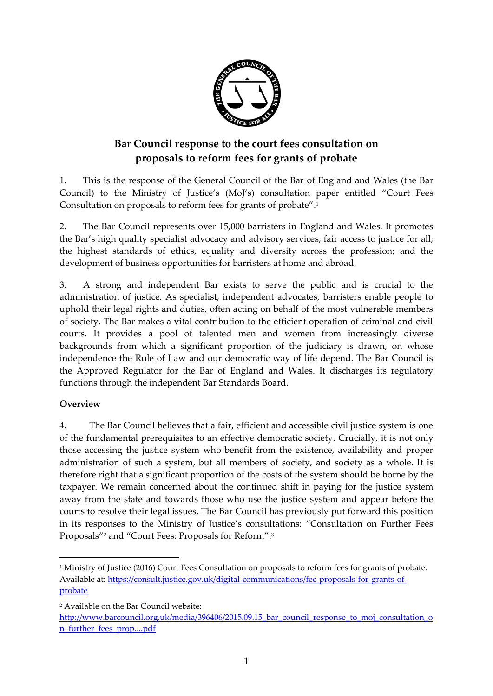

# **Bar Council response to the court fees consultation on proposals to reform fees for grants of probate**

1. This is the response of the General Council of the Bar of England and Wales (the Bar Council) to the Ministry of Justice's (MoJ's) consultation paper entitled "Court Fees Consultation on proposals to reform fees for grants of probate". 1

2. The Bar Council represents over 15,000 barristers in England and Wales. It promotes the Bar's high quality specialist advocacy and advisory services; fair access to justice for all; the highest standards of ethics, equality and diversity across the profession; and the development of business opportunities for barristers at home and abroad.

3. A strong and independent Bar exists to serve the public and is crucial to the administration of justice. As specialist, independent advocates, barristers enable people to uphold their legal rights and duties, often acting on behalf of the most vulnerable members of society. The Bar makes a vital contribution to the efficient operation of criminal and civil courts. It provides a pool of talented men and women from increasingly diverse backgrounds from which a significant proportion of the judiciary is drawn, on whose independence the Rule of Law and our democratic way of life depend. The Bar Council is the Approved Regulator for the Bar of England and Wales. It discharges its regulatory functions through the independent Bar Standards Board.

## **Overview**

**.** 

4. The Bar Council believes that a fair, efficient and accessible civil justice system is one of the fundamental prerequisites to an effective democratic society. Crucially, it is not only those accessing the justice system who benefit from the existence, availability and proper administration of such a system, but all members of society, and society as a whole. It is therefore right that a significant proportion of the costs of the system should be borne by the taxpayer. We remain concerned about the continued shift in paying for the justice system away from the state and towards those who use the justice system and appear before the courts to resolve their legal issues. The Bar Council has previously put forward this position in its responses to the Ministry of Justice's consultations: "Consultation on Further Fees Proposals"<sup>2</sup> and "Court Fees: Proposals for Reform". 3

<sup>1</sup> Ministry of Justice (2016) Court Fees Consultation on proposals to reform fees for grants of probate. Available at: [https://consult.justice.gov.uk/digital-communications/fee-proposals-for-grants-of](https://consult.justice.gov.uk/digital-communications/fee-proposals-for-grants-of-probate)[probate](https://consult.justice.gov.uk/digital-communications/fee-proposals-for-grants-of-probate)

<sup>2</sup> Available on the Bar Council website:

[http://www.barcouncil.org.uk/media/396406/2015.09.15\\_bar\\_council\\_response\\_to\\_moj\\_consultation\\_o](http://www.barcouncil.org.uk/media/396406/2015.09.15_bar_council_response_to_moj_consultation_on_further_fees_prop....pdf) [n\\_further\\_fees\\_prop....pdf](http://www.barcouncil.org.uk/media/396406/2015.09.15_bar_council_response_to_moj_consultation_on_further_fees_prop....pdf)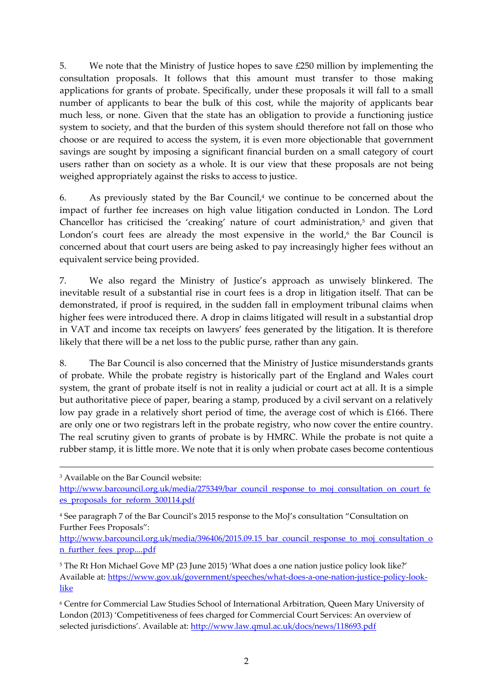5. We note that the Ministry of Justice hopes to save £250 million by implementing the consultation proposals. It follows that this amount must transfer to those making applications for grants of probate. Specifically, under these proposals it will fall to a small number of applicants to bear the bulk of this cost, while the majority of applicants bear much less, or none. Given that the state has an obligation to provide a functioning justice system to society, and that the burden of this system should therefore not fall on those who choose or are required to access the system, it is even more objectionable that government savings are sought by imposing a significant financial burden on a small category of court users rather than on society as a whole. It is our view that these proposals are not being weighed appropriately against the risks to access to justice.

6. As previously stated by the Bar Council, <sup>4</sup> we continue to be concerned about the impact of further fee increases on high value litigation conducted in London. The Lord Chancellor has criticised the 'creaking' nature of court administration, <sup>5</sup> and given that London's court fees are already the most expensive in the world,<sup>6</sup> the Bar Council is concerned about that court users are being asked to pay increasingly higher fees without an equivalent service being provided.

7. We also regard the Ministry of Justice's approach as unwisely blinkered. The inevitable result of a substantial rise in court fees is a drop in litigation itself. That can be demonstrated, if proof is required, in the sudden fall in employment tribunal claims when higher fees were introduced there. A drop in claims litigated will result in a substantial drop in VAT and income tax receipts on lawyers' fees generated by the litigation. It is therefore likely that there will be a net loss to the public purse, rather than any gain.

8. The Bar Council is also concerned that the Ministry of Justice misunderstands grants of probate. While the probate registry is historically part of the England and Wales court system, the grant of probate itself is not in reality a judicial or court act at all. It is a simple but authoritative piece of paper, bearing a stamp, produced by a civil servant on a relatively low pay grade in a relatively short period of time, the average cost of which is £166. There are only one or two registrars left in the probate registry, who now cover the entire country. The real scrutiny given to grants of probate is by HMRC. While the probate is not quite a rubber stamp, it is little more. We note that it is only when probate cases become contentious

1

http://www.barcouncil.org.uk/media/396406/2015.09.15 bar\_council\_response\_to\_moj\_consultation\_o [n\\_further\\_fees\\_prop....pdf](http://www.barcouncil.org.uk/media/396406/2015.09.15_bar_council_response_to_moj_consultation_on_further_fees_prop....pdf)

<sup>6</sup> Centre for Commercial Law Studies School of International Arbitration, Queen Mary University of London (2013) 'Competitiveness of fees charged for Commercial Court Services: An overview of selected jurisdictions'. Available at: <http://www.law.qmul.ac.uk/docs/news/118693.pdf>

<sup>3</sup> Available on the Bar Council website:

[http://www.barcouncil.org.uk/media/275349/bar\\_council\\_response\\_to\\_moj\\_consultation\\_on\\_court\\_fe](http://www.barcouncil.org.uk/media/275349/bar_council_response_to_moj_consultation_on_court_fees_proposals_for_reform_300114.pdf) [es\\_proposals\\_for\\_reform\\_300114.pdf](http://www.barcouncil.org.uk/media/275349/bar_council_response_to_moj_consultation_on_court_fees_proposals_for_reform_300114.pdf)

<sup>4</sup> See paragraph 7 of the Bar Council's 2015 response to the MoJ's consultation "Consultation on Further Fees Proposals":

<sup>5</sup> The Rt Hon Michael Gove MP (23 June 2015) 'What does a one nation justice policy look like?' Available at: [https://www.gov.uk/government/speeches/what-does-a-one-nation-justice-policy-look](https://www.gov.uk/government/speeches/what-does-a-one-nation-justice-policy-look-like)[like](https://www.gov.uk/government/speeches/what-does-a-one-nation-justice-policy-look-like)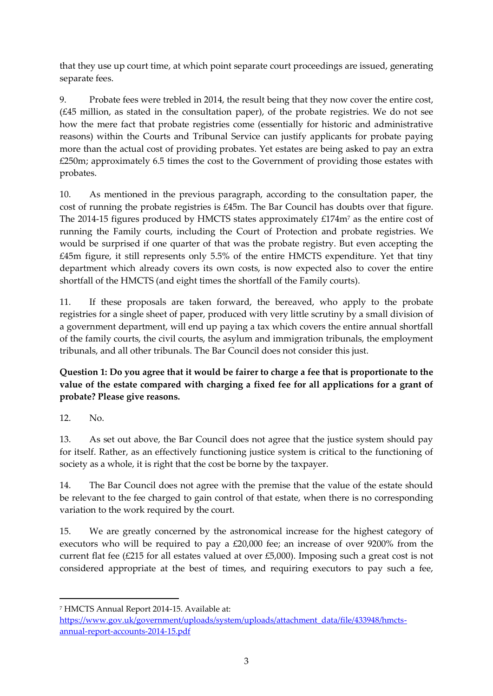that they use up court time, at which point separate court proceedings are issued, generating separate fees.

9. Probate fees were trebled in 2014, the result being that they now cover the entire cost, (£45 million, as stated in the consultation paper), of the probate registries. We do not see how the mere fact that probate registries come (essentially for historic and administrative reasons) within the Courts and Tribunal Service can justify applicants for probate paying more than the actual cost of providing probates. Yet estates are being asked to pay an extra £250m; approximately 6.5 times the cost to the Government of providing those estates with probates.

10. As mentioned in the previous paragraph, according to the consultation paper, the cost of running the probate registries is £45m. The Bar Council has doubts over that figure. The 2014-15 figures produced by HMCTS states approximately  $£174m<sup>7</sup>$  as the entire cost of running the Family courts, including the Court of Protection and probate registries. We would be surprised if one quarter of that was the probate registry. But even accepting the £45m figure, it still represents only 5.5% of the entire HMCTS expenditure. Yet that tiny department which already covers its own costs, is now expected also to cover the entire shortfall of the HMCTS (and eight times the shortfall of the Family courts).

11. If these proposals are taken forward, the bereaved, who apply to the probate registries for a single sheet of paper, produced with very little scrutiny by a small division of a government department, will end up paying a tax which covers the entire annual shortfall of the family courts, the civil courts, the asylum and immigration tribunals, the employment tribunals, and all other tribunals. The Bar Council does not consider this just.

**Question 1: Do you agree that it would be fairer to charge a fee that is proportionate to the value of the estate compared with charging a fixed fee for all applications for a grant of probate? Please give reasons.**

12. No.

 $\overline{a}$ 

13. As set out above, the Bar Council does not agree that the justice system should pay for itself. Rather, as an effectively functioning justice system is critical to the functioning of society as a whole, it is right that the cost be borne by the taxpayer.

14. The Bar Council does not agree with the premise that the value of the estate should be relevant to the fee charged to gain control of that estate, when there is no corresponding variation to the work required by the court.

15. We are greatly concerned by the astronomical increase for the highest category of executors who will be required to pay a £20,000 fee; an increase of over 9200% from the current flat fee (£215 for all estates valued at over £5,000). Imposing such a great cost is not considered appropriate at the best of times, and requiring executors to pay such a fee,

<sup>7</sup> HMCTS Annual Report 2014-15. Available at:

[https://www.gov.uk/government/uploads/system/uploads/attachment\\_data/file/433948/hmcts](https://www.gov.uk/government/uploads/system/uploads/attachment_data/file/433948/hmcts-annual-report-accounts-2014-15.pdf)[annual-report-accounts-2014-15.pdf](https://www.gov.uk/government/uploads/system/uploads/attachment_data/file/433948/hmcts-annual-report-accounts-2014-15.pdf)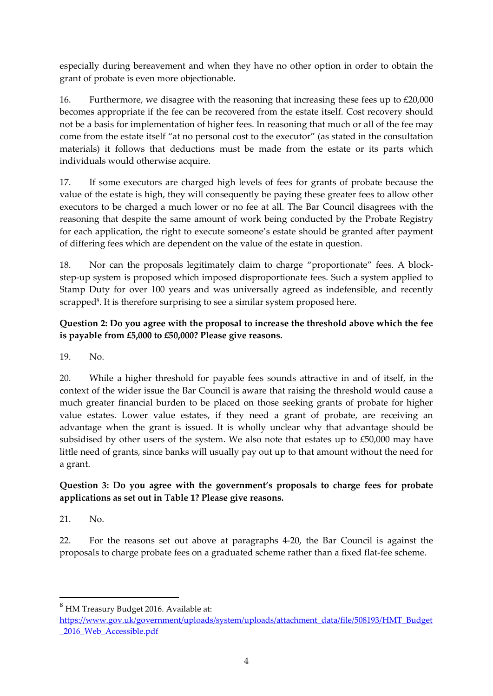especially during bereavement and when they have no other option in order to obtain the grant of probate is even more objectionable.

16. Furthermore, we disagree with the reasoning that increasing these fees up to £20,000 becomes appropriate if the fee can be recovered from the estate itself. Cost recovery should not be a basis for implementation of higher fees. In reasoning that much or all of the fee may come from the estate itself "at no personal cost to the executor" (as stated in the consultation materials) it follows that deductions must be made from the estate or its parts which individuals would otherwise acquire.

17. If some executors are charged high levels of fees for grants of probate because the value of the estate is high, they will consequently be paying these greater fees to allow other executors to be charged a much lower or no fee at all. The Bar Council disagrees with the reasoning that despite the same amount of work being conducted by the Probate Registry for each application, the right to execute someone's estate should be granted after payment of differing fees which are dependent on the value of the estate in question.

18. Nor can the proposals legitimately claim to charge "proportionate" fees. A blockstep-up system is proposed which imposed disproportionate fees. Such a system applied to Stamp Duty for over 100 years and was universally agreed as indefensible, and recently scrapped<sup>8</sup>. It is therefore surprising to see a similar system proposed here.

## **Question 2: Do you agree with the proposal to increase the threshold above which the fee is payable from £5,000 to £50,000? Please give reasons.**

19. No.

20. While a higher threshold for payable fees sounds attractive in and of itself, in the context of the wider issue the Bar Council is aware that raising the threshold would cause a much greater financial burden to be placed on those seeking grants of probate for higher value estates. Lower value estates, if they need a grant of probate, are receiving an advantage when the grant is issued. It is wholly unclear why that advantage should be subsidised by other users of the system. We also note that estates up to £50,000 may have little need of grants, since banks will usually pay out up to that amount without the need for a grant.

## **Question 3: Do you agree with the government's proposals to charge fees for probate applications as set out in Table 1? Please give reasons.**

21. No.

1

22. For the reasons set out above at paragraphs 4-20, the Bar Council is against the proposals to charge probate fees on a graduated scheme rather than a fixed flat-fee scheme.

<sup>8</sup> HM Treasury Budget 2016. Available at:

[https://www.gov.uk/government/uploads/system/uploads/attachment\\_data/file/508193/HMT\\_Budget](https://www.gov.uk/government/uploads/system/uploads/attachment_data/file/508193/HMT_Budget_2016_Web_Accessible.pdf) [\\_2016\\_Web\\_Accessible.pdf](https://www.gov.uk/government/uploads/system/uploads/attachment_data/file/508193/HMT_Budget_2016_Web_Accessible.pdf)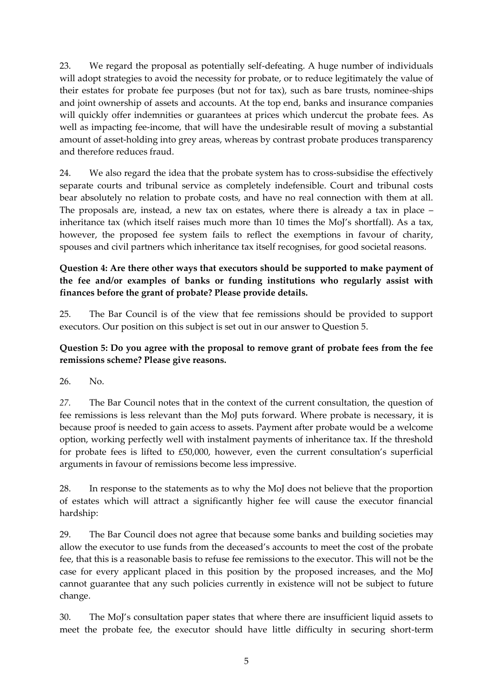23. We regard the proposal as potentially self-defeating. A huge number of individuals will adopt strategies to avoid the necessity for probate, or to reduce legitimately the value of their estates for probate fee purposes (but not for tax), such as bare trusts, nominee-ships and joint ownership of assets and accounts. At the top end, banks and insurance companies will quickly offer indemnities or guarantees at prices which undercut the probate fees. As well as impacting fee-income, that will have the undesirable result of moving a substantial amount of asset-holding into grey areas, whereas by contrast probate produces transparency and therefore reduces fraud.

24. We also regard the idea that the probate system has to cross-subsidise the effectively separate courts and tribunal service as completely indefensible. Court and tribunal costs bear absolutely no relation to probate costs, and have no real connection with them at all. The proposals are, instead, a new tax on estates, where there is already a tax in place – inheritance tax (which itself raises much more than 10 times the MoJ's shortfall). As a tax, however, the proposed fee system fails to reflect the exemptions in favour of charity, spouses and civil partners which inheritance tax itself recognises, for good societal reasons.

### **Question 4: Are there other ways that executors should be supported to make payment of the fee and/or examples of banks or funding institutions who regularly assist with finances before the grant of probate? Please provide details.**

25. The Bar Council is of the view that fee remissions should be provided to support executors. Our position on this subject is set out in our answer to Question 5.

### **Question 5: Do you agree with the proposal to remove grant of probate fees from the fee remissions scheme? Please give reasons.**

26. No.

*27.* The Bar Council notes that in the context of the current consultation, the question of fee remissions is less relevant than the MoJ puts forward. Where probate is necessary, it is because proof is needed to gain access to assets. Payment after probate would be a welcome option, working perfectly well with instalment payments of inheritance tax. If the threshold for probate fees is lifted to £50,000, however, even the current consultation's superficial arguments in favour of remissions become less impressive.

28. In response to the statements as to why the MoJ does not believe that the proportion of estates which will attract a significantly higher fee will cause the executor financial hardship:

29. The Bar Council does not agree that because some banks and building societies may allow the executor to use funds from the deceased's accounts to meet the cost of the probate fee, that this is a reasonable basis to refuse fee remissions to the executor. This will not be the case for every applicant placed in this position by the proposed increases, and the MoJ cannot guarantee that any such policies currently in existence will not be subject to future change.

30. The MoJ's consultation paper states that where there are insufficient liquid assets to meet the probate fee, the executor should have little difficulty in securing short-term